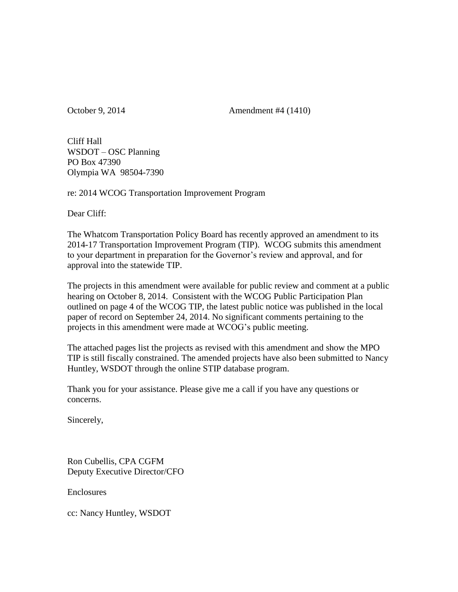October 9, 2014 **Amendment #4 (1410)** 

Cliff Hall WSDOT – OSC Planning PO Box 47390 Olympia WA 98504-7390

re: 2014 WCOG Transportation Improvement Program

Dear Cliff:

The Whatcom Transportation Policy Board has recently approved an amendment to its 2014-17 Transportation Improvement Program (TIP). WCOG submits this amendment to your department in preparation for the Governor's review and approval, and for approval into the statewide TIP.

The projects in this amendment were available for public review and comment at a public hearing on October 8, 2014. Consistent with the WCOG Public Participation Plan outlined on page 4 of the WCOG TIP, the latest public notice was published in the local paper of record on September 24, 2014. No significant comments pertaining to the projects in this amendment were made at WCOG's public meeting.

The attached pages list the projects as revised with this amendment and show the MPO TIP is still fiscally constrained. The amended projects have also been submitted to Nancy Huntley, WSDOT through the online STIP database program.

Thank you for your assistance. Please give me a call if you have any questions or concerns.

Sincerely,

Ron Cubellis, CPA CGFM Deputy Executive Director/CFO

**Enclosures** 

cc: Nancy Huntley, WSDOT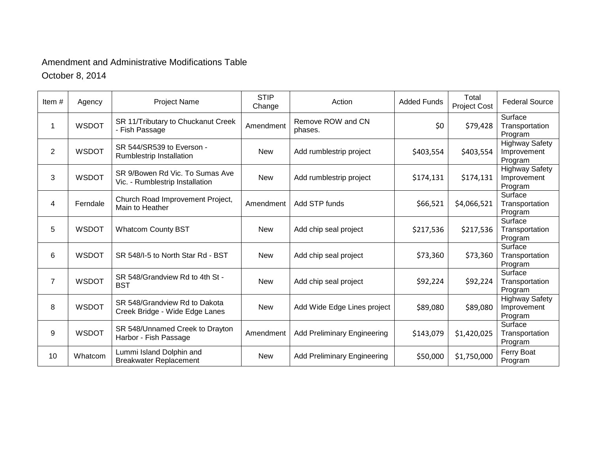# Amendment and Administrative Modifications Table

October 8, 2014

| Item#          | Agency       | <b>Project Name</b>                                                | <b>STIP</b><br>Change | Action                             | <b>Added Funds</b> | Total<br>Project Cost | <b>Federal Source</b>                           |
|----------------|--------------|--------------------------------------------------------------------|-----------------------|------------------------------------|--------------------|-----------------------|-------------------------------------------------|
| $\mathbf{1}$   | <b>WSDOT</b> | SR 11/Tributary to Chuckanut Creek<br>- Fish Passage               | Amendment             | Remove ROW and CN<br>phases.       | \$0                | \$79,428              | Surface<br>Transportation<br>Program            |
| $\overline{2}$ | <b>WSDOT</b> | SR 544/SR539 to Everson -<br>Rumblestrip Installation              | <b>New</b>            | Add rumblestrip project            | \$403,554          | \$403,554             | <b>Highway Safety</b><br>Improvement<br>Program |
| 3              | <b>WSDOT</b> | SR 9/Bowen Rd Vic. To Sumas Ave<br>Vic. - Rumblestrip Installation | <b>New</b>            | Add rumblestrip project            | \$174,131          | \$174,131             | <b>Highway Safety</b><br>Improvement<br>Program |
| 4              | Ferndale     | Church Road Improvement Project,<br>Main to Heather                | Amendment             | Add STP funds                      | \$66,521           | \$4,066,521           | Surface<br>Transportation<br>Program            |
| 5              | <b>WSDOT</b> | <b>Whatcom County BST</b>                                          | <b>New</b>            | Add chip seal project              | \$217,536          | \$217,536             | Surface<br>Transportation<br>Program            |
| 6              | <b>WSDOT</b> | SR 548/I-5 to North Star Rd - BST                                  | <b>New</b>            | Add chip seal project              | \$73,360           | \$73,360              | Surface<br>Transportation<br>Program            |
| $\overline{7}$ | <b>WSDOT</b> | SR 548/Grandview Rd to 4th St -<br><b>BST</b>                      | <b>New</b>            | Add chip seal project              | \$92,224           | \$92,224              | Surface<br>Transportation<br>Program            |
| 8              | <b>WSDOT</b> | SR 548/Grandview Rd to Dakota<br>Creek Bridge - Wide Edge Lanes    | <b>New</b>            | Add Wide Edge Lines project        | \$89,080           | \$89,080              | <b>Highway Safety</b><br>Improvement<br>Program |
| 9              | <b>WSDOT</b> | SR 548/Unnamed Creek to Drayton<br>Harbor - Fish Passage           | Amendment             | <b>Add Preliminary Engineering</b> | \$143,079          | \$1,420,025           | Surface<br>Transportation<br>Program            |
| 10             | Whatcom      | Lummi Island Dolphin and<br><b>Breakwater Replacement</b>          | <b>New</b>            | <b>Add Preliminary Engineering</b> | \$50,000           | \$1,750,000           | Ferry Boat<br>Program                           |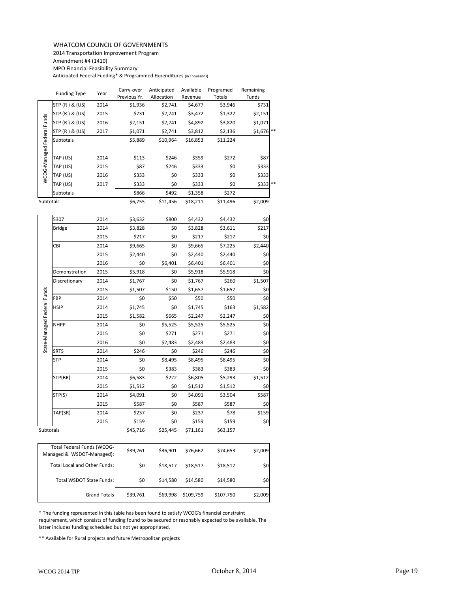# WHATCOM COUNCIL OF GOVERNMENTS

2014 Transportation Improvement Program

Amendment #4 (1410)

MPO Financial Feasibility Summary

Anticipated Federal Funding\* & Programmed Expenditures (in Thousands)

|                            | <b>Funding Type</b> | Year    | Carry-over   | Anticipated | Available | Programed     | Remaining            |
|----------------------------|---------------------|---------|--------------|-------------|-----------|---------------|----------------------|
|                            |                     |         | Previous Yr. | Allocation  | Revenue   | <b>Totals</b> | Funds                |
|                            | STP (R) & (US)      | 2014    | \$1,936      | \$2,741     | \$4,677   | \$3,946       | \$731                |
|                            | STP (R) & (US)      | 2015    | \$731        | \$2,741     | \$3,472   | \$1,322       | \$2,151              |
|                            | STP (R) & (US)      | 2016    | \$2,151      | \$2,741     | \$4,892   | \$3,820       | \$1,071              |
|                            | STP (R) & (US)      | 2017    | \$1,071      | \$2,741     | \$3,812   | \$2,136       | $$1,676$ **          |
| WCOG-Managed Federal Funds | Subtotals           |         | \$5,889      | \$10,964    | \$16,853  | \$11,224      |                      |
|                            |                     |         |              |             |           |               |                      |
|                            | TAP (US)            | 2014    | \$113        | \$246       | \$359     | \$272         | \$87                 |
|                            | TAP (US)            | 2015    | \$87         | \$246       | \$333     | \$0           | \$333                |
|                            | TAP (US)            | 2016    | \$333        | \$0         | \$333     | \$0           | \$333                |
|                            | TAP (US)            | 2017    | \$333        | \$0         | \$333     | \$0           | $$333$ <sup>**</sup> |
|                            | Subtotals           |         | \$866        | \$492       | \$1,358   | \$272         |                      |
| Subtotals                  |                     | \$6,755 | \$11,456     | \$18,211    | \$11,496  | \$2,009       |                      |

| STP (R) & (US)<br>STP (R) & (US)<br>Subtotals<br>TAP (US)<br>TAP (US)<br>TAP (US) | 2016<br>2017<br>2014<br>2015 | \$2,151<br>\$1,071<br>\$5,889<br>\$113                                                                                                     | \$2,741<br>\$2,741<br>\$10,964<br>\$246 | \$4,892<br>\$3,812<br>\$16,853 | \$3,820<br>\$2,136<br>\$11,224 | \$1,071<br>\$1,676 |
|-----------------------------------------------------------------------------------|------------------------------|--------------------------------------------------------------------------------------------------------------------------------------------|-----------------------------------------|--------------------------------|--------------------------------|--------------------|
|                                                                                   |                              |                                                                                                                                            |                                         |                                |                                |                    |
|                                                                                   |                              |                                                                                                                                            |                                         |                                |                                |                    |
|                                                                                   |                              |                                                                                                                                            |                                         |                                |                                |                    |
|                                                                                   |                              |                                                                                                                                            |                                         | \$359                          | \$272                          | \$87               |
|                                                                                   |                              | \$87                                                                                                                                       | \$246                                   | \$333                          | \$0                            | \$333              |
|                                                                                   | 2016                         | \$333                                                                                                                                      | \$0                                     | \$333                          | \$0                            | \$333              |
| TAP (US)                                                                          | 2017                         | \$333                                                                                                                                      | \$0                                     | \$333                          | \$0                            | \$333              |
| Subtotals                                                                         |                              | \$866                                                                                                                                      | \$492                                   | \$1,358                        | \$272                          |                    |
|                                                                                   |                              | \$6,755                                                                                                                                    | \$11,456                                | \$18,211                       | \$11,496                       | \$2,009            |
|                                                                                   | 2014                         | \$3,632                                                                                                                                    | \$800                                   | \$4,432                        | \$4,432                        | \$0                |
| <b>Bridge</b>                                                                     | 2014                         | \$3,828                                                                                                                                    | \$0                                     | \$3,828                        | \$3,611                        | \$217              |
|                                                                                   | 2015                         | \$217                                                                                                                                      | \$0                                     | \$217                          | \$217                          | \$0                |
|                                                                                   | 2014                         | \$9,665                                                                                                                                    | \$0                                     | \$9,665                        | \$7,225                        | \$2,440            |
|                                                                                   | 2015                         | \$2,440                                                                                                                                    | \$0                                     | \$2,440                        | \$2,440                        | \$0                |
|                                                                                   | 2016                         | \$0                                                                                                                                        | \$6,401                                 | \$6,401                        | \$6,401                        | \$0                |
| Demonstration                                                                     | 2015                         | \$5,918                                                                                                                                    | \$0                                     | \$5,918                        | \$5,918                        | 50                 |
| Discretionary                                                                     | 2014                         | \$1,767                                                                                                                                    | \$0                                     | \$1,767                        | \$260                          | \$1,507            |
|                                                                                   | 2015                         | \$1,507                                                                                                                                    | \$150                                   | \$1,657                        | \$1,657                        | \$0                |
|                                                                                   | 2014                         | \$0                                                                                                                                        | \$50                                    | \$50                           | \$50                           | 50                 |
|                                                                                   | 2014                         | \$1,745                                                                                                                                    | \$0                                     | \$1,745                        | \$163                          | \$1,582            |
| 2015                                                                              |                              | \$1,582                                                                                                                                    | \$665                                   | \$2,247                        | \$2,247                        | \$0                |
| <b>NHPP</b>                                                                       | 2014                         | \$0                                                                                                                                        | \$5,525                                 | \$5,525                        | \$5,525                        | \$0                |
|                                                                                   | 2015                         | \$0                                                                                                                                        | \$271                                   | \$271                          | \$271                          | 50                 |
|                                                                                   | 2016                         | \$0                                                                                                                                        | \$2,483                                 | \$2,483                        | \$2,483                        | \$0                |
|                                                                                   | 2014                         | \$246                                                                                                                                      | \$0                                     | \$246                          | \$246                          | 50                 |
|                                                                                   | 2014                         | \$0                                                                                                                                        | \$8,495                                 | \$8,495                        | \$8,495                        | \$0                |
|                                                                                   | 2015                         | \$0                                                                                                                                        | \$383                                   | \$383                          | \$383                          | \$0                |
| STP(BR)                                                                           | 2014                         | \$6,583                                                                                                                                    | \$222                                   | \$6,805                        | \$5,293                        | \$1,512            |
|                                                                                   | 2015                         | \$1,512                                                                                                                                    | \$0                                     | \$1,512                        | \$1,512                        | \$0                |
| STP(S)                                                                            | 2014                         | \$4,091                                                                                                                                    | \$0                                     | \$4,091                        | \$3,504                        | \$587              |
|                                                                                   | 2015                         | \$587                                                                                                                                      | \$0                                     | \$587                          | \$587                          | \$0                |
| TAP(SR)                                                                           | 2014                         | \$237                                                                                                                                      | \$0                                     | \$237                          | \$78                           | \$159              |
|                                                                                   | 2015                         | \$159                                                                                                                                      | \$0                                     | \$159                          | \$159                          | \$0                |
|                                                                                   |                              | \$45,716                                                                                                                                   | \$25,445                                | \$71,161                       | \$63,157                       |                    |
|                                                                                   |                              |                                                                                                                                            |                                         |                                |                                | \$2,009            |
|                                                                                   |                              |                                                                                                                                            |                                         |                                |                                |                    |
|                                                                                   |                              | \$0                                                                                                                                        | \$18,517                                | \$18,517                       | \$18,517                       | \$0                |
|                                                                                   |                              | \$0                                                                                                                                        | \$14,580                                | \$14,580                       | \$14,580                       | \$0                |
|                                                                                   |                              | \$39,761                                                                                                                                   | \$69,998                                | \$109,759                      | \$107,750                      | \$2,009            |
|                                                                                   |                              | Total Federal Funds (WCOG-<br>Managed & WSDOT-Managed):<br>Total Local and Other Funds:<br>Total WSDOT State Funds:<br><b>Grand Totals</b> | \$39,761                                | \$36,901                       | \$76,662                       | \$74,653           |

| Total Federal Funds (WCOG-<br>Managed & WSDOT-Managed): | \$39,761 | \$36,901 | \$76,662  | \$74,653  | \$2,009 |
|---------------------------------------------------------|----------|----------|-----------|-----------|---------|
| <b>Total Local and Other Funds:</b>                     | \$0      | \$18,517 | \$18,517  | \$18,517  | \$0     |
| Total WSDOT State Funds:                                | \$0      | \$14,580 | \$14,580  | \$14,580  | \$0     |
| <b>Grand Totals</b>                                     | \$39,761 | \$69,998 | \$109,759 | \$107,750 | \$2,009 |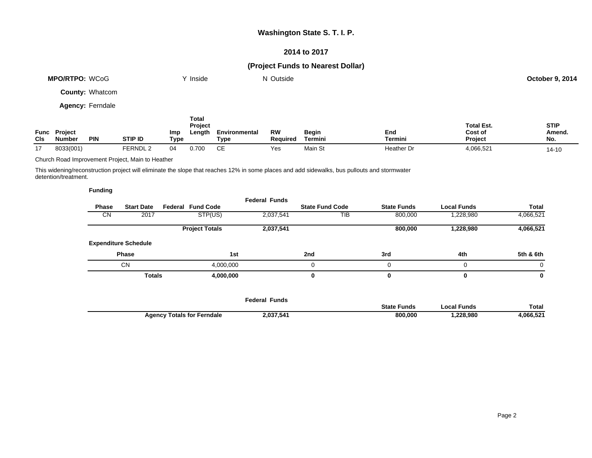### **2014 to 2017**

# **(Project Funds to Nearest Dollar)**

|     | <b>MPO/RTPO: WCoG</b>         |                         |                |             | Y Inside                          |                       | N Outside             |                         |                |                                         | <b>October 9, 2014</b>       |
|-----|-------------------------------|-------------------------|----------------|-------------|-----------------------------------|-----------------------|-----------------------|-------------------------|----------------|-----------------------------------------|------------------------------|
|     |                               | <b>County: Whatcom</b>  |                |             |                                   |                       |                       |                         |                |                                         |                              |
|     |                               | <b>Agency: Ferndale</b> |                |             |                                   |                       |                       |                         |                |                                         |                              |
| CIs | Func Project<br><b>Number</b> | <b>PIN</b>              | <b>STIP ID</b> | Imp<br>Type | Total<br><b>Project</b><br>Length | Environmental<br>Type | <b>RW</b><br>Required | <b>Begin</b><br>Termini | End<br>Termini | <b>Total Est.</b><br>Cost of<br>Project | <b>STIP</b><br>Amend.<br>No. |

17 8033(001) FERNDL 2 04 0.700 CE Yes Main St Heather Dr 4,066,521 14-10

Church Road Improvement Project, Main to Heather

This widening/reconstruction project will eliminate the slope that reaches 12% in some places and add sidewalks, bus pullouts and stormwater detention/treatment.

| Phase     | <b>Start Date</b>           | <b>Federal Fund Code</b> | <b>Federal Funds</b> | <b>State Fund Code</b> | <b>State Funds</b> | <b>Local Funds</b> | <b>Total</b> |
|-----------|-----------------------------|--------------------------|----------------------|------------------------|--------------------|--------------------|--------------|
| <b>CN</b> | 2017                        | STP(US)                  | 2,037,541            | TIB                    | 800,000            | 1,228,980          | 4,066,521    |
|           |                             | <b>Project Totals</b>    | 2,037,541            |                        | 800,000            | 1,228,980          | 4,066,521    |
|           | <b>Expenditure Schedule</b> |                          |                      |                        |                    |                    |              |
|           | <b>Phase</b>                | 1st                      |                      | 2nd                    | 3rd                | 4th                | 5th & 6th    |
|           | <b>CN</b>                   | 4,000,000                |                      | 0                      |                    | 0                  | $\Omega$     |
|           | <b>Totals</b>               | 4,000,000                |                      | 0                      |                    | 0                  | 0            |

|                                   | <b>Federal Funds</b> |                    |                      |              |
|-----------------------------------|----------------------|--------------------|----------------------|--------------|
|                                   |                      | <b>State Funds</b> | <sup>→</sup> ' Funds | <b>Total</b> |
| <b>Agency Totals for Ferndale</b> | 2,037,541            | 800,000            | .228.980             | .066.521     |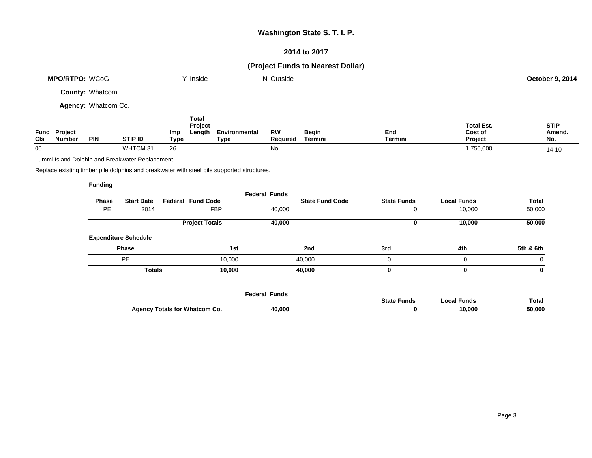### **2014 to 2017**

# **(Project Funds to Nearest Dollar)**

|                     | <b>MPO/RTPO: WCoG</b>                |                        |                | Inside                                                  |                       | N Outside             |                         |                |                                                | <b>October 9, 2014</b>       |
|---------------------|--------------------------------------|------------------------|----------------|---------------------------------------------------------|-----------------------|-----------------------|-------------------------|----------------|------------------------------------------------|------------------------------|
|                     |                                      | <b>County: Whatcom</b> |                |                                                         |                       |                       |                         |                |                                                |                              |
| Agency: Whatcom Co. |                                      |                        |                |                                                         |                       |                       |                         |                |                                                |                              |
| CIs                 | <b>Func Project</b><br><b>Number</b> | <b>PIN</b>             | <b>STIP ID</b> | <b>Total</b><br><b>Project</b><br>Length<br>Imp<br>Type | Environmental<br>Type | <b>RW</b><br>Required | <b>Begin</b><br>Termini | End<br>Termini | <b>Total Est.</b><br>Cost of<br><b>Project</b> | <b>STIP</b><br>Amend.<br>No. |

00 WHTCM 31 26 No 1,750,000 14-10

Lummi Island Dolphin and Breakwater Replacement

Replace existing timber pile dolphins and breakwater with steel pile supported structures.

|           |                             |                          | <b>Federal Funds</b> |                        |                    |                    |           |
|-----------|-----------------------------|--------------------------|----------------------|------------------------|--------------------|--------------------|-----------|
| Phase     | <b>Start Date</b>           | <b>Federal Fund Code</b> |                      | <b>State Fund Code</b> | <b>State Funds</b> | <b>Local Funds</b> | Total     |
| <b>PE</b> | 2014                        | <b>FBP</b>               | 40,000               |                        | U                  | 10,000             | 50,000    |
|           |                             | <b>Project Totals</b>    | 40,000               |                        | 0                  | 10,000             | 50,000    |
|           | <b>Expenditure Schedule</b> |                          |                      |                        |                    |                    |           |
|           | Phase                       | 1st                      |                      | 2nd                    | 3rd                | 4th                | 5th & 6th |
|           | PE                          | 10,000                   |                      | 40,000                 | 0                  | 0                  | 0         |
|           | <b>Totals</b>               | 10,000                   |                      | 40,000                 | 0                  | 0                  | 0         |
|           |                             |                          |                      |                        |                    |                    |           |
|           |                             |                          |                      |                        |                    |                    |           |

|                                      | Federal Funds |                  |                      |              |
|--------------------------------------|---------------|------------------|----------------------|--------------|
|                                      |               | State i<br>Funds | <b>Funds</b><br>ocal | <b>Total</b> |
| <b>Agency Totals for Whatcom Co.</b> | 40,000        |                  | 10,000               | 50,000       |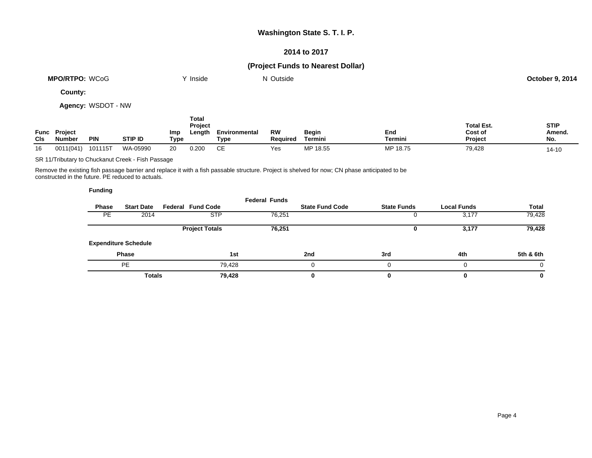### **2014 to 2017**

# **(Project Funds to Nearest Dollar)**

| <b>MPO/RTPO:</b><br>WCoG | <b>Inside</b> | $\sim$<br>Outside<br>N | October 9, 2014 |
|--------------------------|---------------|------------------------|-----------------|
|                          |               |                        |                 |

**County:**

**Agency:** WSDOT - NW

| <b>CIs</b> | <b>Func Project</b><br>Number | <b>PIN</b> | <b>STIP ID</b> | <b>Imp</b><br>Type | Total<br>Project<br>Length | Environmental<br>Туре | RW<br>Reauired | Begin<br>Termini | End<br>Termini | <b>Total Est.</b><br>Cost of<br><b>Project</b> | <b>STIP</b><br>Amend.<br>No. |
|------------|-------------------------------|------------|----------------|--------------------|----------------------------|-----------------------|----------------|------------------|----------------|------------------------------------------------|------------------------------|
| 16         | 0011(041)                     | 101115T    | WA-05990       | 20                 | 0.200                      | СE                    | Yes            | MP 18.55         | MP 18.75       | 79,428                                         | $14 - 10$                    |

SR 11/Tributary to Chuckanut Creek - Fish Passage

Remove the existing fish passage barrier and replace it with a fish passable structure. Project is shelved for now; CN phase anticipated to be constructed in the future. PE reduced to actuals.

|           |                             |                          | <b>Federal Funds</b> |                        |                    |                    |              |
|-----------|-----------------------------|--------------------------|----------------------|------------------------|--------------------|--------------------|--------------|
| Phase     | <b>Start Date</b>           | <b>Federal Fund Code</b> |                      | <b>State Fund Code</b> | <b>State Funds</b> | <b>Local Funds</b> | <b>Total</b> |
| <b>PE</b> | 2014                        | <b>STP</b>               | 76,251               |                        |                    | 3,177              | 79,428       |
|           |                             | <b>Project Totals</b>    | 76,251               |                        |                    | 3,177              | 79,428       |
|           | <b>Expenditure Schedule</b> |                          |                      |                        |                    |                    |              |
|           | <b>Phase</b>                |                          | 1st                  | 2nd                    | 3rd                | 4th                | 5th & 6th    |
|           | PE                          | 79,428                   |                      |                        |                    | 0                  | $\Omega$     |
|           | <b>Totals</b>               | 79,428                   |                      | 0                      |                    | 0                  | 0            |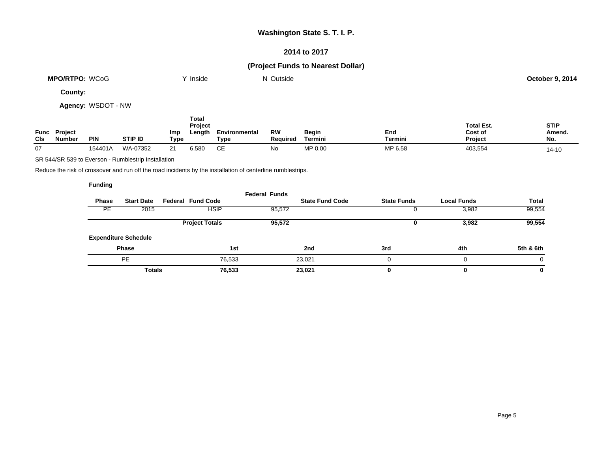### **2014 to 2017**

# **(Project Funds to Nearest Dollar)**

| WCoG<br><b>MPO/RTPO:</b> | Inside | ' Outside<br>N | 9.2014<br>October 9. |
|--------------------------|--------|----------------|----------------------|
|                          |        |                |                      |

**County:**

**Agency:** WSDOT - NW

| <b>CIs</b> | <b>Func Project</b><br><b>Number</b> | <b>PIN</b> | <b>STIP ID</b> | Imp<br>Type | Total<br>Project<br>Length | Environmental<br>Туре | RW<br><b>Required</b> | Begin<br>Termini | End<br>Termini | <b>Total Est.</b><br>Cost of<br>Project | <b>STIP</b><br>Amend.<br>No. |
|------------|--------------------------------------|------------|----------------|-------------|----------------------------|-----------------------|-----------------------|------------------|----------------|-----------------------------------------|------------------------------|
| 07         |                                      | 154401A    | WA-07352       | 21          | 6.580                      | CЕ                    | No                    | MP 0.00          | MP 6.58        | 403,554                                 | $14 - 10$                    |

SR 544/SR 539 to Everson - Rumblestrip Installation

Reduce the risk of crossover and run off the road incidents by the installation of centerline rumblestrips.

|              |                             |                          | <b>Federal Funds</b> |                        |                    |                    |              |
|--------------|-----------------------------|--------------------------|----------------------|------------------------|--------------------|--------------------|--------------|
| <b>Phase</b> | <b>Start Date</b>           | <b>Federal Fund Code</b> |                      | <b>State Fund Code</b> | <b>State Funds</b> | <b>Local Funds</b> | <b>Total</b> |
| <b>PE</b>    | 2015                        | <b>HSIP</b>              | 95,572               |                        |                    | 3,982              | 99,554       |
|              |                             | <b>Project Totals</b>    | 95,572               |                        | u                  | 3,982              | 99,554       |
|              | <b>Expenditure Schedule</b> |                          |                      |                        |                    |                    |              |
|              | <b>Phase</b>                |                          | 1st                  | 2nd                    | 3rd                | 4th                | 5th & 6th    |
|              | PE                          | 76.533                   |                      | 23.021                 |                    |                    | 0            |
|              | <b>Totals</b>               | 76,533                   |                      | 23,021                 | 0                  |                    | 0            |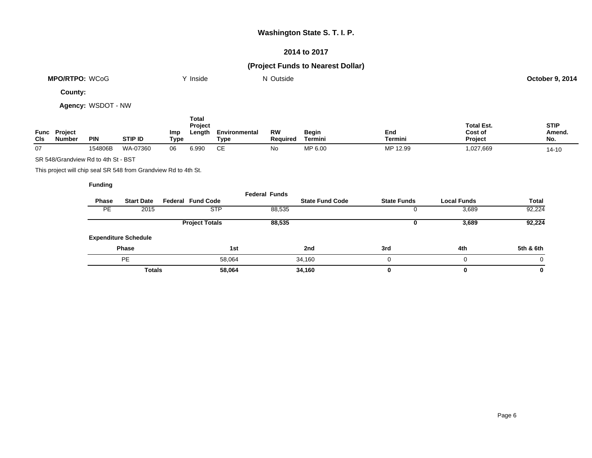### **2014 to 2017**

# **(Project Funds to Nearest Dollar)**

|                       |               |         | 9.2014     |
|-----------------------|---------------|---------|------------|
| <b>MPO/RTPO: WCoG</b> | <b>Inside</b> | Outside | October 9. |
|                       |               |         |            |
|                       |               |         |            |

**County:**

**Agency:** WSDOT - NW

| <b>CIs</b> | <b>Func Project</b><br><b>Number</b> | <b>PIN</b> | <b>STIP ID</b> | Imp<br>Type | Total<br>Project<br>Length | Environmental<br>Туре | RW<br>Reauired | Begin<br>Termini | End<br>Termini | <b>Total Est.</b><br>Cost of<br>Project | <b>STIP</b><br>Amend.<br>No. |
|------------|--------------------------------------|------------|----------------|-------------|----------------------------|-----------------------|----------------|------------------|----------------|-----------------------------------------|------------------------------|
| 07         |                                      | 154806B    | WA-07360       | 06          | 6.990                      | СE                    | No             | MP 6.00          | MP 12.99       | 1,027,669                               | $14 - 10$                    |

SR 548/Grandview Rd to 4th St - BST

This project will chip seal SR 548 from Grandview Rd to 4th St.

|           |                             |                          | <b>Federal Funds</b> |                        |                    |                    |           |
|-----------|-----------------------------|--------------------------|----------------------|------------------------|--------------------|--------------------|-----------|
| Phase     | <b>Start Date</b>           | <b>Federal Fund Code</b> |                      | <b>State Fund Code</b> | <b>State Funds</b> | <b>Local Funds</b> | Total     |
| <b>PE</b> | 2015                        | <b>STP</b>               | 88,535               |                        | υ                  | 3,689              | 92,224    |
|           |                             | <b>Project Totals</b>    | 88,535               |                        |                    | 3,689              | 92,224    |
|           | <b>Expenditure Schedule</b> |                          |                      |                        |                    |                    |           |
|           | <b>Phase</b>                |                          | 1st                  | 2nd                    | 3rd                | 4th                | 5th & 6th |
|           | <b>PE</b>                   | 58,064                   |                      | 34,160                 | $\Omega$           |                    | 0         |
|           | <b>Totals</b>               | 58,064                   |                      | 34,160                 | 0                  | 0                  | 0         |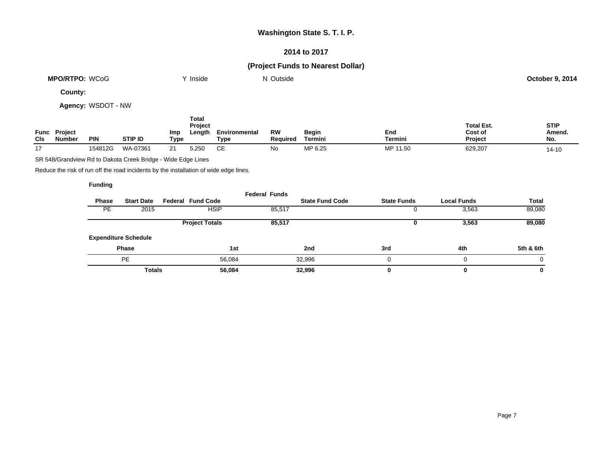## **2014 to 2017**

# **(Project Funds to Nearest Dollar)**

| <b>MPO/RTPO: WCoG</b> | Inside | $\sim$<br>Outside<br>NL | <b>October 9, 2014</b> |
|-----------------------|--------|-------------------------|------------------------|
|                       |        |                         |                        |

**County:**

**Agency:** WSDOT - NW

| <b>CIs</b> | <b>Func Project</b><br><b>Number</b> | <b>PIN</b> | <b>STIP ID</b> | Imp<br>Type | Total<br>Project<br>Length | Environmental<br>Type | RW<br><b>Reauired</b> | Begin<br>Termini | End<br>Termini | <b>Total Est.</b><br>Cost of<br><b>Project</b> | <b>STIP</b><br>Amend.<br>No. |
|------------|--------------------------------------|------------|----------------|-------------|----------------------------|-----------------------|-----------------------|------------------|----------------|------------------------------------------------|------------------------------|
| 17         |                                      | 154812G    | WA-07361       | 21          | 5.250                      | СE                    | No                    | MP 6.25          | MP 11.50       | 629,207                                        | $14 - 10$                    |

SR 548/Grandview Rd to Dakota Creek Bridge - Wide Edge Lines

Reduce the risk of run off the road incidents by the installation of wide edge lines.

|           |                             |                          |        | <b>Federal Funds</b> |                        |                    |                    |              |
|-----------|-----------------------------|--------------------------|--------|----------------------|------------------------|--------------------|--------------------|--------------|
| Phase     | <b>Start Date</b>           | <b>Federal Fund Code</b> |        |                      | <b>State Fund Code</b> | <b>State Funds</b> | <b>Local Funds</b> | <b>Total</b> |
| <b>PE</b> | 2015                        | <b>HSIP</b>              |        | 85,517               |                        |                    | 3,563              | 89,080       |
|           |                             | <b>Project Totals</b>    |        | 85,517               |                        |                    | 3,563              | 89,080       |
|           | <b>Expenditure Schedule</b> |                          |        |                      |                        |                    |                    |              |
|           | <b>Phase</b>                |                          | 1st    |                      | 2nd                    | 3rd                | 4th                | 5th & 6th    |
|           | <b>PE</b>                   |                          | 56.084 |                      | 32,996                 |                    | 0                  | 0            |
|           | <b>Totals</b>               |                          | 56,084 |                      | 32,996                 |                    | 0                  | 0            |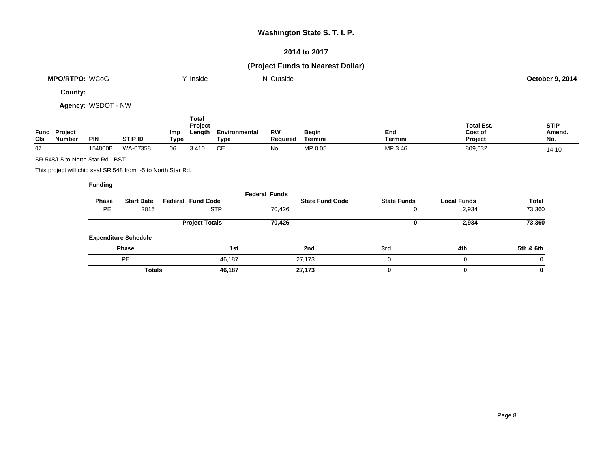### **2014 to 2017**

# **(Project Funds to Nearest Dollar)**

| <b>MPO/RTPO: WCoG</b> | Inside | ' Outside<br>N | . <i>.</i> 2014<br>October 9 |
|-----------------------|--------|----------------|------------------------------|
|                       |        |                |                              |

**County:**

**Agency:** WSDOT - NW

| <b>CIs</b> | <b>Func Project</b><br><b>Number</b> | <b>PIN</b> | <b>STIP ID</b> | Imp<br>Type | Total<br>Project<br>Length | Environmental<br>Туре | RW<br>Reauired | <b>Begin</b><br>Termini | End<br>Termini | <b>Total Est.</b><br>Cost of<br>Project | <b>STIP</b><br>Amend.<br>No. |
|------------|--------------------------------------|------------|----------------|-------------|----------------------------|-----------------------|----------------|-------------------------|----------------|-----------------------------------------|------------------------------|
| 07         |                                      | 154800B    | WA-07358       | 06          | 3.410                      | СE                    | No             | MP 0.05                 | MP 3.46        | 809,032                                 | $14 - 10$                    |

SR 548/I-5 to North Star Rd - BST

This project will chip seal SR 548 from I-5 to North Star Rd.

|              |                             |                          | <b>Federal Funds</b> |                        |                    |                    |              |
|--------------|-----------------------------|--------------------------|----------------------|------------------------|--------------------|--------------------|--------------|
| <b>Phase</b> | <b>Start Date</b>           | <b>Federal Fund Code</b> |                      | <b>State Fund Code</b> | <b>State Funds</b> | <b>Local Funds</b> | <b>Total</b> |
| <b>PE</b>    | 2015                        | <b>STP</b>               | 70,426               |                        |                    | 2,934              | 73,360       |
|              |                             | <b>Project Totals</b>    | 70,426               |                        |                    | 2,934              | 73,360       |
|              | <b>Expenditure Schedule</b> |                          |                      |                        |                    |                    |              |
|              | <b>Phase</b>                | 1st                      |                      | 2nd                    | 3rd                | 4th                | 5th & 6th    |
|              | <b>PE</b>                   | 46,187                   |                      | 27,173                 | $\Omega$           |                    | $\Omega$     |
|              | <b>Totals</b>               | 46,187                   |                      | 27,173                 | 0                  | 0                  | 0            |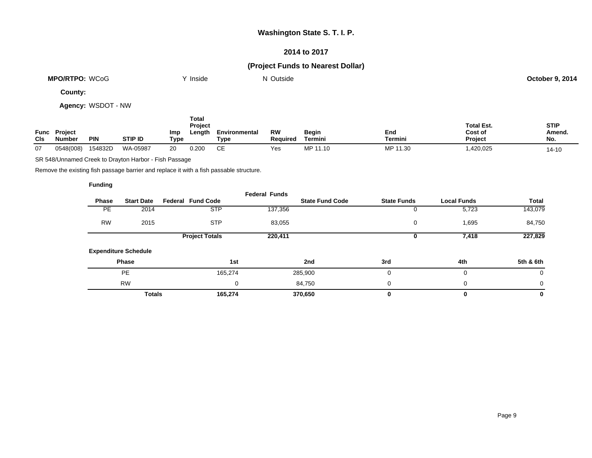### **2014 to 2017**

# **(Project Funds to Nearest Dollar)**

| MPO/RT<br>$M\subset$<br>TPO:<br>/CoG | 'nside | Outside | <u> 2014</u><br>October 9 |
|--------------------------------------|--------|---------|---------------------------|
|                                      |        |         |                           |

**County:**

**Agency:** WSDOT - NW

| Func<br><b>CIs</b> | <b>Project</b><br>Number | <b>PIN</b> | STIP ID  | Imp<br><b>Type</b> | Total<br>Project<br>Length | Environmental<br>туре | RW<br><b>Required</b> | <b>Begin</b><br>Termini | End<br>Termini | <b>Total Est.</b><br>Cost of<br>Project | <b>STIP</b><br>Amend.<br>No. |
|--------------------|--------------------------|------------|----------|--------------------|----------------------------|-----------------------|-----------------------|-------------------------|----------------|-----------------------------------------|------------------------------|
| 07                 | 0548(008)                | 154832D    | WA-05987 | 20                 | 0.200                      | CЕ                    | Yes                   | MP 11.10                | MP 11.30       | ,420,025                                | 14-10                        |

SR 548/Unnamed Creek to Drayton Harbor - Fish Passage

Remove the existing fish passage barrier and replace it with a fish passable structure.

|              |                             |                          | <b>Federal Funds</b> |                        |                    |                    |           |
|--------------|-----------------------------|--------------------------|----------------------|------------------------|--------------------|--------------------|-----------|
| <b>Phase</b> | <b>Start Date</b>           | <b>Federal Fund Code</b> |                      | <b>State Fund Code</b> | <b>State Funds</b> | <b>Local Funds</b> | Total     |
| <b>PE</b>    | 2014                        | <b>STP</b>               | 137,356              |                        |                    | 5,723              | 143,079   |
| <b>RW</b>    | 2015                        | <b>STP</b>               | 83,055               |                        | 0                  | 1,695              | 84,750    |
|              |                             | <b>Project Totals</b>    | 220,411              |                        | υ                  | 7,418              | 227,829   |
|              | <b>Expenditure Schedule</b> |                          |                      |                        |                    |                    |           |
|              | Phase                       | 1st                      |                      | 2nd                    | 3rd                | 4th                | 5th & 6th |
|              | <b>PE</b>                   | 165,274                  |                      | 285,900                | 0                  | 0                  | 0         |
|              | <b>RW</b>                   |                          | 0                    | 84,750                 | 0                  | 0                  | $\Omega$  |
|              | <b>Totals</b>               | 165,274                  |                      | 370,650                | 0                  | 0                  | 0         |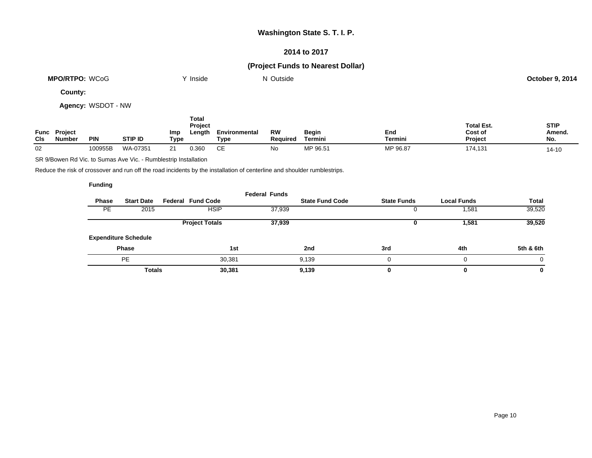### **2014 to 2017**

# **(Project Funds to Nearest Dollar)**

| <b>MPO/RTPO: WCoG</b> | Inside | Outside | <b>October 9, 2014</b> |
|-----------------------|--------|---------|------------------------|
|                       |        |         |                        |

**County:**

**Agency:** WSDOT - NW

| Func<br>CIS | <b>Project</b><br>Number | <b>PIN</b> | <b>STIP ID</b> | <b>Imp</b><br>Type | Total<br>Project<br>Length | Environmental<br>Туре | RW<br>Reauired | Begin<br><b>Termini</b> | End<br>Termini | <b>Total Est.</b><br>Cost of<br><b>Project</b> | <b>STIP</b><br>Amend.<br>No. |
|-------------|--------------------------|------------|----------------|--------------------|----------------------------|-----------------------|----------------|-------------------------|----------------|------------------------------------------------|------------------------------|
| 02          |                          | 100955B    | WA-07351       | C <sub>A</sub>     | 0.360                      | СE                    | No             | MP 96.51                | MP 96.87       | 174,131                                        | $14 - 10$                    |

SR 9/Bowen Rd Vic. to Sumas Ave Vic. - Rumblestrip Installation

Reduce the risk of crossover and run off the road incidents by the installation of centerline and shoulder rumblestrips.

|           |                             |                          |             | <b>Federal Funds</b> |                        |                    |                    |           |
|-----------|-----------------------------|--------------------------|-------------|----------------------|------------------------|--------------------|--------------------|-----------|
| Phase     | <b>Start Date</b>           | <b>Federal Fund Code</b> |             |                      | <b>State Fund Code</b> | <b>State Funds</b> | <b>Local Funds</b> | Total     |
| <b>PE</b> | 2015                        |                          | <b>HSIP</b> | 37,939               |                        |                    | .581               | 39,520    |
|           |                             | <b>Project Totals</b>    |             | 37,939               |                        | U                  | 1,581              | 39,520    |
|           | <b>Expenditure Schedule</b> |                          |             |                      |                        |                    |                    |           |
|           | <b>Phase</b>                |                          | 1st         |                      | 2nd                    | 3rd                | 4th                | 5th & 6th |
|           | <b>PE</b>                   |                          | 30,381      |                      | 9.139                  |                    | $\Omega$           | $\Omega$  |
|           | <b>Totals</b>               |                          | 30,381      |                      | 9,139                  |                    | 0                  | 0         |